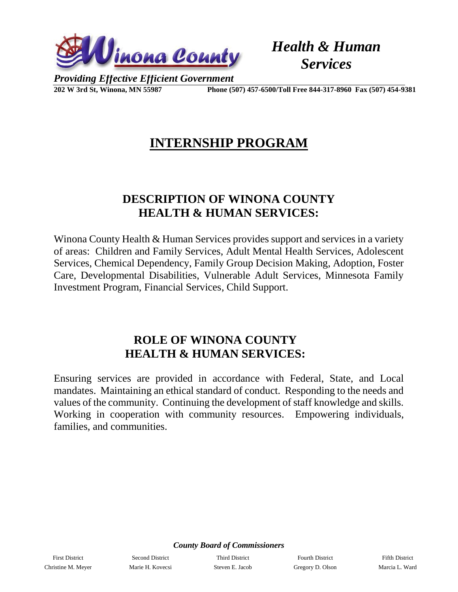

*Health & Human Services*

*Providing Effective Efficient Government*

**202 W 3rd St, Winona, MN 55987 Phone (507) 457-6500/Toll Free 844-317-8960 Fax (507) 454-9381**

### **INTERNSHIP PROGRAM**

#### **DESCRIPTION OF WINONA COUNTY HEALTH & HUMAN SERVICES:**

Winona County Health & Human Services provides support and services in a variety of areas: Children and Family Services, Adult Mental Health Services, Adolescent Services, Chemical Dependency, Family Group Decision Making, Adoption, Foster Care, Developmental Disabilities, Vulnerable Adult Services, Minnesota Family Investment Program, Financial Services, Child Support.

#### **ROLE OF WINONA COUNTY HEALTH & HUMAN SERVICES:**

Ensuring services are provided in accordance with Federal, State, and Local mandates. Maintaining an ethical standard of conduct. Responding to the needs and values of the community. Continuing the development of staff knowledge and skills. Working in cooperation with community resources. Empowering individuals, families, and communities.

*County Board of Commissioners*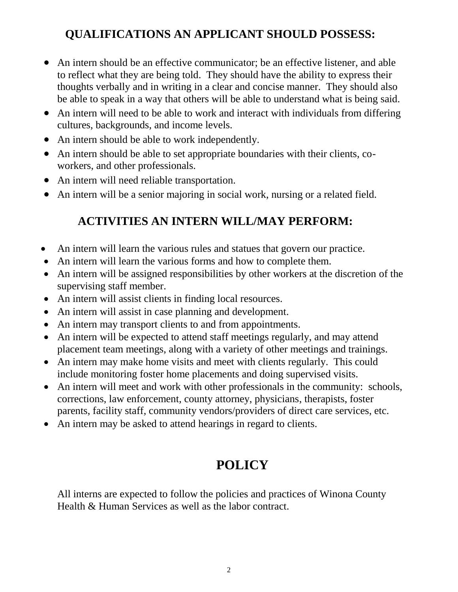### **QUALIFICATIONS AN APPLICANT SHOULD POSSESS:**

- An intern should be an effective communicator; be an effective listener, and able to reflect what they are being told. They should have the ability to express their thoughts verbally and in writing in a clear and concise manner. They should also be able to speak in a way that others will be able to understand what is being said.
- An intern will need to be able to work and interact with individuals from differing cultures, backgrounds, and income levels.
- An intern should be able to work independently.
- An intern should be able to set appropriate boundaries with their clients, coworkers, and other professionals.
- An intern will need reliable transportation.
- An intern will be a senior majoring in social work, nursing or a related field.

#### **ACTIVITIES AN INTERN WILL/MAY PERFORM:**

- An intern will learn the various rules and statues that govern our practice.
- An intern will learn the various forms and how to complete them.
- An intern will be assigned responsibilities by other workers at the discretion of the supervising staff member.
- An intern will assist clients in finding local resources.
- An intern will assist in case planning and development.
- An intern may transport clients to and from appointments.
- An intern will be expected to attend staff meetings regularly, and may attend placement team meetings, along with a variety of other meetings and trainings.
- An intern may make home visits and meet with clients regularly. This could include monitoring foster home placements and doing supervised visits.
- An intern will meet and work with other professionals in the community: schools, corrections, law enforcement, county attorney, physicians, therapists, foster parents, facility staff, community vendors/providers of direct care services, etc.
- An intern may be asked to attend hearings in regard to clients.

# **POLICY**

All interns are expected to follow the policies and practices of Winona County Health & Human Services as well as the labor contract.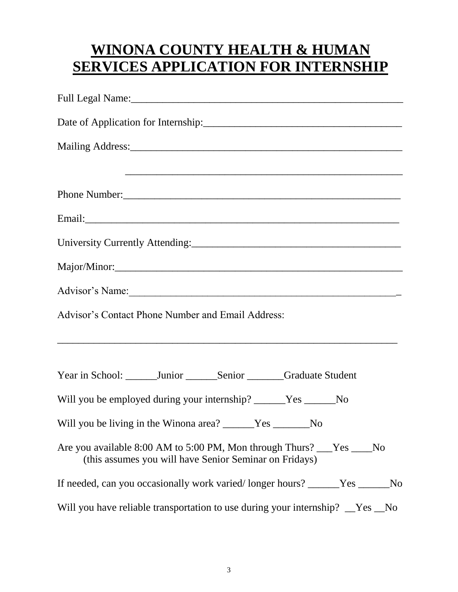# **WINONA COUNTY HEALTH & HUMAN SERVICES APPLICATION FOR INTERNSHIP**

|                                                                                                                                  |  | Advisor's Contact Phone Number and Email Address: |  |  |
|----------------------------------------------------------------------------------------------------------------------------------|--|---------------------------------------------------|--|--|
|                                                                                                                                  |  |                                                   |  |  |
| Year in School: _______Junior _______Senior ______Graduate Student                                                               |  |                                                   |  |  |
| Will you be employed during your internship? ______Yes ______No                                                                  |  |                                                   |  |  |
| Will you be living in the Winona area? ______Yes ______No                                                                        |  |                                                   |  |  |
| Are you available 8:00 AM to 5:00 PM, Mon through Thurs? ___Yes ____No<br>(this assumes you will have Senior Seminar on Fridays) |  |                                                   |  |  |
| If needed, can you occasionally work varied/longer hours? _____Yes _____No                                                       |  |                                                   |  |  |
| Will you have reliable transportation to use during your internship? Thes No                                                     |  |                                                   |  |  |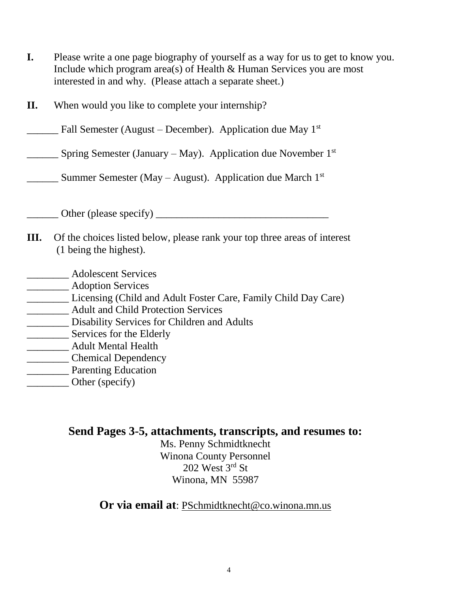- **I.** Please write a one page biography of yourself as a way for us to get to know you. Include which program area(s) of Health & Human Services you are most interested in and why. (Please attach a separate sheet.)
- **II.** When would you like to complete your internship?
- **EXECUTE:** Fall Semester (August December). Application due May  $1^{st}$
- $\frac{1}{2}$  Spring Semester (January May). Application due November 1st
- **EXECUTE:** Summer Semester (May August). Application due March  $1<sup>st</sup>$
- Other (please specify)
- **III.** Of the choices listed below, please rank your top three areas of interest (1 being the highest).
- \_\_\_\_\_\_\_\_ Adolescent Services
- \_\_\_\_\_\_\_\_ Adoption Services
- \_\_\_\_\_\_\_\_ Licensing (Child and Adult Foster Care, Family Child Day Care)
- \_\_\_\_\_\_\_\_ Adult and Child Protection Services
- \_\_\_\_\_\_\_\_ Disability Services for Children and Adults
- **EXECUTE:** Services for the Elderly
- \_\_\_\_\_\_\_\_ Adult Mental Health
- \_\_\_\_\_\_\_\_ Chemical Dependency
- **\_\_\_\_\_\_\_\_** Parenting Education
- \_\_\_\_\_\_\_\_ Other (specify)

#### **Send Pages 3-5, attachments, transcripts, and resumes to:**

Ms. Penny Schmidtknecht Winona County Personnel  $202$  West  $3<sup>rd</sup>$  St Winona, MN 55987

**Or via email at**: PSchmidtknecht@co.winona.mn.us